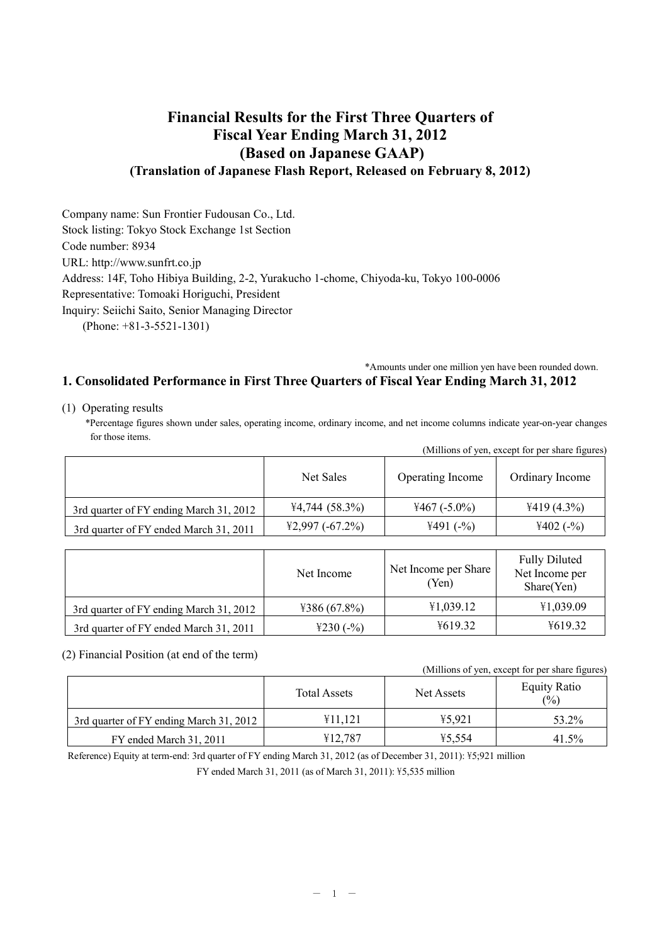# **Financial Results for the First Three Quarters of Fiscal Year Ending March 31, 2012 (Based on Japanese GAAP) (Translation of Japanese Flash Report, Released on February 8, 2012)**

Company name: Sun Frontier Fudousan Co., Ltd. Stock listing: Tokyo Stock Exchange 1st Section Code number: 8934 URL: <http://www.sunfrt.co.jp> Address: 14F, Toho Hibiya Building, 2-2, Yurakucho 1-chome, Chiyoda-ku, Tokyo 100-0006 Representative: Tomoaki Horiguchi, President Inquiry: Seiichi Saito, Senior Managing Director (Phone: +81-3-5521-1301)

### \*Amounts under one million yen have been rounded down.

## **1. Consolidated Performance in First Three Quarters of Fiscal Year Ending March 31, 2012**

(1) Operating results

\*Percentage figures shown under sales, operating income, ordinary income, and net income columns indicate year-on-year changes for those items.

|                                         |                  |                  | (Millions of yen, except for per share figures) |
|-----------------------------------------|------------------|------------------|-------------------------------------------------|
|                                         | Net Sales        | Operating Income | Ordinary Income                                 |
| 3rd quarter of FY ending March 31, 2012 | $4,744$ (58.3%)  | $4467(-5.0\%)$   | $4419(4.3\%)$                                   |
| 3rd quarter of FY ended March 31, 2011  | $42,997(-67.2%)$ | $4491(-%)$       | $4402(-%)$                                      |

|                                         | Net Income   | Net Income per Share<br>(Yen) | <b>Fully Diluted</b><br>Net Income per<br>Share(Yen) |
|-----------------------------------------|--------------|-------------------------------|------------------------------------------------------|
| 3rd quarter of FY ending March 31, 2012 | 4386(67.8%)  | 41,039.12                     | ¥1,039.09                                            |
| 3rd quarter of FY ended March 31, 2011  | ¥230 $(-\%)$ | ¥619.32                       | 4619.32                                              |

(2) Financial Position (at end of the term)

| (Millions of yen, except for per share figures) |  |  |  |
|-------------------------------------------------|--|--|--|
|                                                 |  |  |  |

|                                         | <b>Total Assets</b> | Net Assets | <b>Equity Ratio</b><br>(%) |
|-----------------------------------------|---------------------|------------|----------------------------|
| 3rd quarter of FY ending March 31, 2012 | ¥11.121             | 45.921     | 53.2%                      |
| FY ended March 31, 2011                 | ¥12.787             | ¥5.554     | 41.5%                      |

Reference) Equity at term-end: 3rd quarter of FY ending March 31, 2012 (as of December 31, 2011): ¥5;921 million

FY ended March 31, 2011 (as of March 31, 2011): \£5,535 million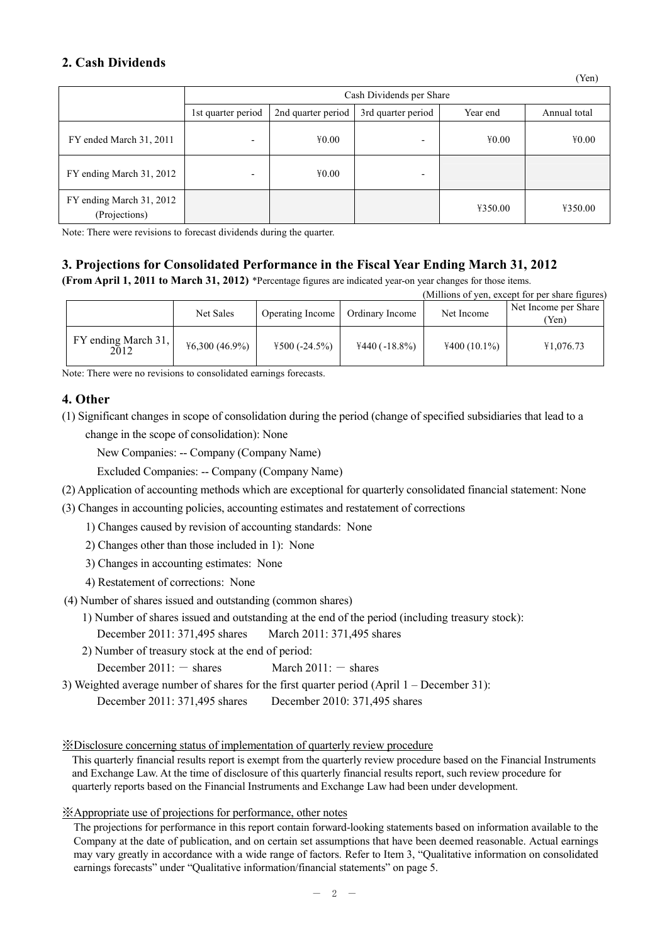# **2. Cash Dividends**

|                                           |                          |                    | Cash Dividends per Share |          |              |
|-------------------------------------------|--------------------------|--------------------|--------------------------|----------|--------------|
|                                           | 1st quarter period       | 2nd quarter period | 3rd quarter period       | Year end | Annual total |
| FY ended March 31, 2011                   | -                        | 40.00              | $\overline{\phantom{0}}$ | 40.00    | 40.00        |
| FY ending March 31, 2012                  | $\overline{\phantom{0}}$ | 40.00              | $\overline{\phantom{0}}$ |          |              |
| FY ending March 31, 2012<br>(Projections) |                          |                    |                          | ¥350.00  | ¥350.00      |

Note: There were revisions to forecast dividends during the quarter.

# **3. Projections for Consolidated Performance in the Fiscal Year Ending March 31, 2012**

**(From April 1, 2011 to March 31, 2012)** \*Percentage figures are indicated year-on year changes for those items.

|                             |                  |                  |                 |                | (Millions of yen, except for per share figures) |
|-----------------------------|------------------|------------------|-----------------|----------------|-------------------------------------------------|
|                             | Net Sales        | Operating Income | Ordinary Income | Net Income     | Net Income per Share<br>Yen)                    |
| FY ending March 31,<br>2012 | $46,300(46.9\%)$ | $4500 (-24.5%)$  | $4440(-18.8\%)$ | $4400(10.1\%)$ | ¥1,076.73                                       |

Note: There were no revisions to consolidated earnings forecasts.

## **4. Other**

(1) Significant changes in scope of consolidation during the period (change of specified subsidiaries that lead to a change in the scope of consolidation): None

New Companies: -- Company (Company Name)

Excluded Companies: -- Company (Company Name)

- (2) Application of accounting methods which are exceptional for quarterly consolidated financial statement: None
- (3) Changes in accounting policies, accounting estimates and restatement of corrections

1) Changes caused by revision of accounting standards: None

2) Changes other than those included in 1): None

3) Changes in accounting estimates: None

- 4) Restatement of corrections: None
- (4) Number of shares issued and outstanding (common shares)
	- 1) Number of shares issued and outstanding at the end of the period (including treasury stock):

December 2011: 371,495 shares March 2011: 371,495 shares

2) Number of treasury stock at the end of period:

December  $2011: -$  shares March  $2011: -$  shares

3) Weighted average number of shares for the first quarter period (April 1 – December 31):

December 2011: 371,495 shares December 2010: 371,495 shares

※Disclosure concerning status of implementation of quarterly review procedure

This quarterly financial results report is exempt from the quarterly review procedure based on the Financial Instruments and Exchange Law. At the time of disclosure of this quarterly financial results report, such review procedure for quarterly reports based on the Financial Instruments and Exchange Law had been under development.

### ※Appropriate use of projections for performance, other notes

The projections for performance in this report contain forward-looking statements based on information available to the Company at the date of publication, and on certain set assumptions that have been deemed reasonable. Actual earnings may vary greatly in accordance with a wide range of factors. Refer to Item 3, "Qualitative information on consolidated earnings forecasts" under "Qualitative information/financial statements" on page 5.

(Yen)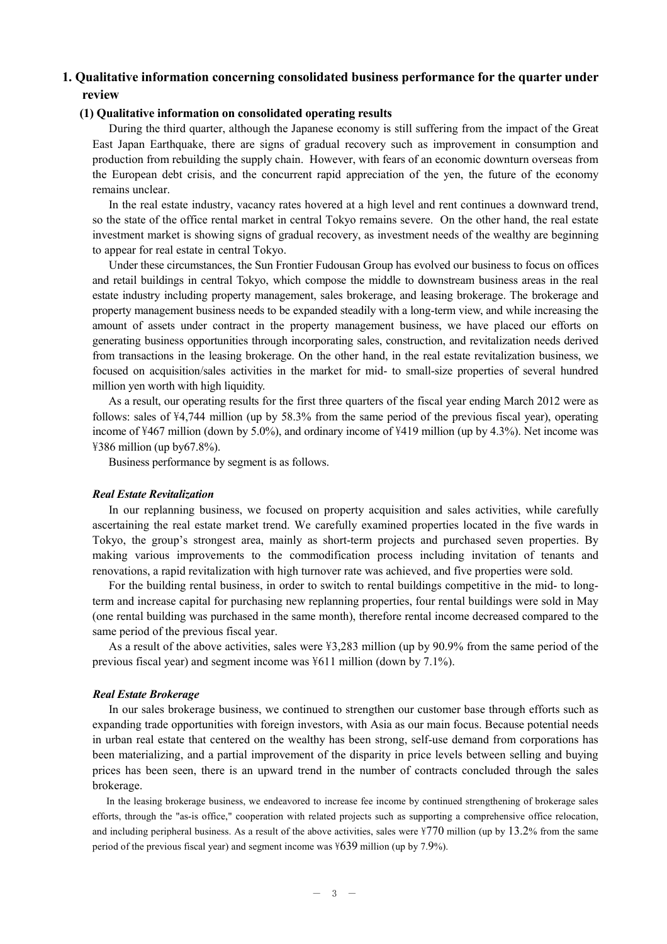# **1. Qualitative information concerning consolidated business performance for the quarter under review**

### **(1) Qualitative information on consolidated operating results**

During the third quarter, although the Japanese economy is still suffering from the impact of the Great East Japan Earthquake, there are signs of gradual recovery such as improvement in consumption and production from rebuilding the supply chain. However, with fears of an economic downturn overseas from the European debt crisis, and the concurrent rapid appreciation of the yen, the future of the economy remains unclear.

In the real estate industry, vacancy rates hovered at a high level and rent continues a downward trend, so the state of the office rental market in central Tokyo remains severe. On the other hand, the real estate investment market is showing signs of gradual recovery, as investment needs of the wealthy are beginning to appear for real estate in central Tokyo.

Under these circumstances, the Sun Frontier Fudousan Group has evolved our business to focus on offices and retail buildings in central Tokyo, which compose the middle to downstream business areas in the real estate industry including property management, sales brokerage, and leasing brokerage. The brokerage and property management business needs to be expanded steadily with a long-term view, and while increasing the amount of assets under contract in the property management business, we have placed our efforts on generating business opportunities through incorporating sales, construction, and revitalization needs derived from transactions in the leasing brokerage. On the other hand, in the real estate revitalization business, we focused on acquisition/sales activities in the market for mid- to small-size properties of several hundred million yen worth with high liquidity.

As a result, our operating results for the first three quarters of the fiscal year ending March 2012 were as follows: sales of  $\frac{4}{74}$ ,744 million (up by 58.3% from the same period of the previous fiscal year), operating income of \467 million (down by 5.0%), and ordinary income of \419 million (up by 4.3%). Net income was  $\overline{4}386$  million (up by67.8%).

Business performance by segment is as follows.

#### *Real Estate Revitalization*

In our replanning business, we focused on property acquisition and sales activities, while carefully ascertaining the real estate market trend. We carefully examined properties located in the five wards in Tokyo, the group's strongest area, mainly as short-term projects and purchased seven properties. By making various improvements to the commodification process including invitation of tenants and renovations, a rapid revitalization with high turnover rate was achieved, and five properties were sold.

For the building rental business, in order to switch to rental buildings competitive in the mid- to longterm and increase capital for purchasing new replanning properties, four rental buildings were sold in May (one rental building was purchased in the same month), therefore rental income decreased compared to the same period of the previous fiscal year.

As a result of the above activities, sales were  $\frac{43,283}{100}$  million (up by 90.9% from the same period of the previous fiscal year) and segment income was \611 million (down by 7.1%).

### *Real Estate Brokerage*

In our sales brokerage business, we continued to strengthen our customer base through efforts such as expanding trade opportunities with foreign investors, with Asia as our main focus. Because potential needs in urban real estate that centered on the wealthy has been strong, self-use demand from corporations has been materializing, and a partial improvement of the disparity in price levels between selling and buying prices has been seen, there is an upward trend in the number of contracts concluded through the sales brokerage.

In the leasing brokerage business, we endeavored to increase fee income by continued strengthening of brokerage sales efforts, through the "as-is office," cooperation with related projects such as supporting a comprehensive office relocation, and including peripheral business. As a result of the above activities, sales were  $\frac{1770}{100}$  million (up by 13.2% from the same period of the previous fiscal year) and segment income was  $\pm 639$  million (up by 7.9%).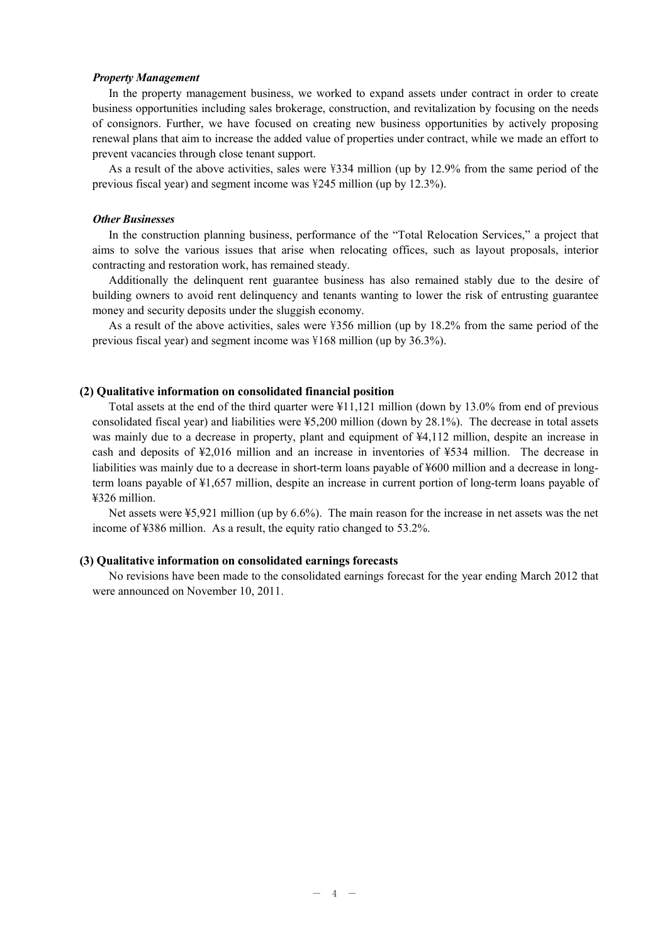#### *Property Management*

In the property management business, we worked to expand assets under contract in order to create business opportunities including sales brokerage, construction, and revitalization by focusing on the needs of consignors. Further, we have focused on creating new business opportunities by actively proposing renewal plans that aim to increase the added value of properties under contract, while we made an effort to prevent vacancies through close tenant support.

As a result of the above activities, sales were  $\frac{334}{1000}$  million (up by 12.9% from the same period of the previous fiscal year) and segment income was \245 million (up by 12.3%).

### *Other Businesses*

In the construction planning business, performance of the "Total Relocation Services," a project that aims to solve the various issues that arise when relocating offices, such as layout proposals, interior contracting and restoration work, has remained steady.

Additionally the delinquent rent guarantee business has also remained stably due to the desire of building owners to avoid rent delinquency and tenants wanting to lower the risk of entrusting guarantee money and security deposits under the sluggish economy.

As a result of the above activities, sales were  $\frac{356}{100}$  million (up by 18.2% from the same period of the previous fiscal year) and segment income was \168 million (up by 36.3%).

### **(2) Qualitative information on consolidated financial position**

Total assets at the end of the third quarter were ¥11,121 million (down by 13.0% from end of previous consolidated fiscal year) and liabilities were ¥5,200 million (down by 28.1%). The decrease in total assets was mainly due to a decrease in property, plant and equipment of  $\frac{1}{4}4$ , 112 million, despite an increase in cash and deposits of ¥2,016 million and an increase in inventories of ¥534 million. The decrease in liabilities was mainly due to a decrease in short-term loans payable of ¥600 million and a decrease in longterm loans payable of ¥1,657 million, despite an increase in current portion of long-term loans payable of ¥326 million.

Net assets were ¥5,921 million (up by 6.6%). The main reason for the increase in net assets was the net income of ¥386 million. As a result, the equity ratio changed to 53.2%.

### **(3) Qualitative information on consolidated earnings forecasts**

No revisions have been made to the consolidated earnings forecast for the year ending March 2012 that were announced on November 10, 2011.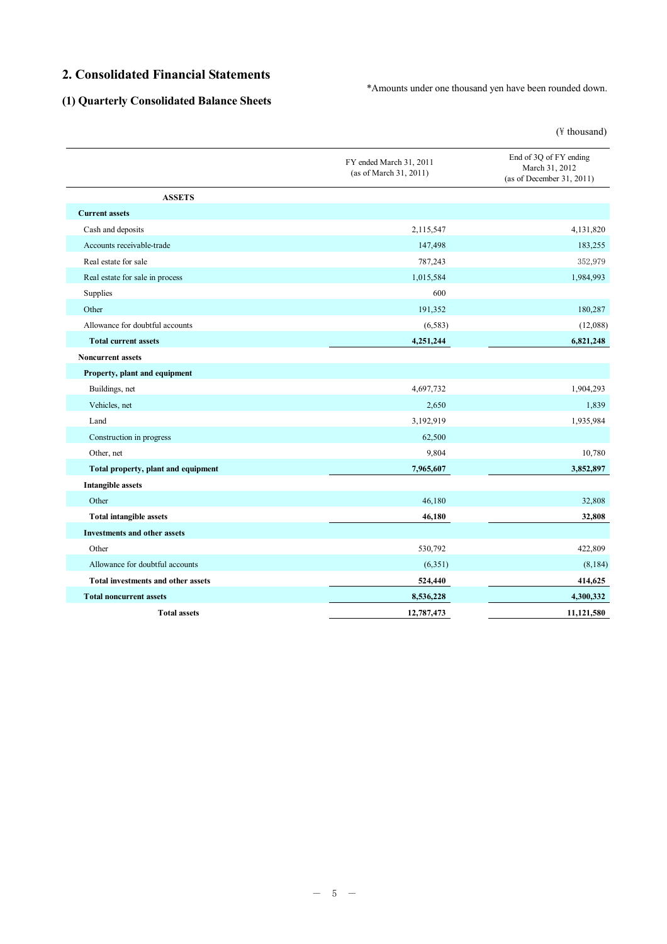# **2. Consolidated Financial Statements**

\*Amounts under one thousand yen have been rounded down.

# **(1) Quarterly Consolidated Balance Sheets**

 $(\frac{y}{x})$  thousand)

|                                           | FY ended March 31, 2011<br>(as of March 31, 2011) | End of 3Q of FY ending<br>March 31, 2012<br>(as of December 31, 2011) |
|-------------------------------------------|---------------------------------------------------|-----------------------------------------------------------------------|
| <b>ASSETS</b>                             |                                                   |                                                                       |
| <b>Current assets</b>                     |                                                   |                                                                       |
| Cash and deposits                         | 2,115,547                                         | 4,131,820                                                             |
| Accounts receivable-trade                 | 147,498                                           | 183,255                                                               |
| Real estate for sale                      | 787,243                                           | 352,979                                                               |
| Real estate for sale in process           | 1,015,584                                         | 1,984,993                                                             |
| Supplies                                  | 600                                               |                                                                       |
| Other                                     | 191,352                                           | 180,287                                                               |
| Allowance for doubtful accounts           | (6,583)                                           | (12,088)                                                              |
| <b>Total current assets</b>               | 4,251,244                                         | 6,821,248                                                             |
| <b>Noncurrent assets</b>                  |                                                   |                                                                       |
| Property, plant and equipment             |                                                   |                                                                       |
| Buildings, net                            | 4,697,732                                         | 1,904,293                                                             |
| Vehicles, net                             | 2,650                                             | 1,839                                                                 |
| Land                                      | 3,192,919                                         | 1,935,984                                                             |
| Construction in progress                  | 62,500                                            |                                                                       |
| Other, net                                | 9,804                                             | 10,780                                                                |
| Total property, plant and equipment       | 7,965,607                                         | 3,852,897                                                             |
| <b>Intangible assets</b>                  |                                                   |                                                                       |
| Other                                     | 46,180                                            | 32,808                                                                |
| <b>Total intangible assets</b>            | 46,180                                            | 32,808                                                                |
| <b>Investments and other assets</b>       |                                                   |                                                                       |
| Other                                     | 530,792                                           | 422,809                                                               |
| Allowance for doubtful accounts           | (6,351)                                           | (8, 184)                                                              |
| <b>Total investments and other assets</b> | 524,440                                           | 414,625                                                               |
| <b>Total noncurrent assets</b>            | 8,536,228                                         | 4,300,332                                                             |
| <b>Total assets</b>                       | 12,787,473                                        | 11,121,580                                                            |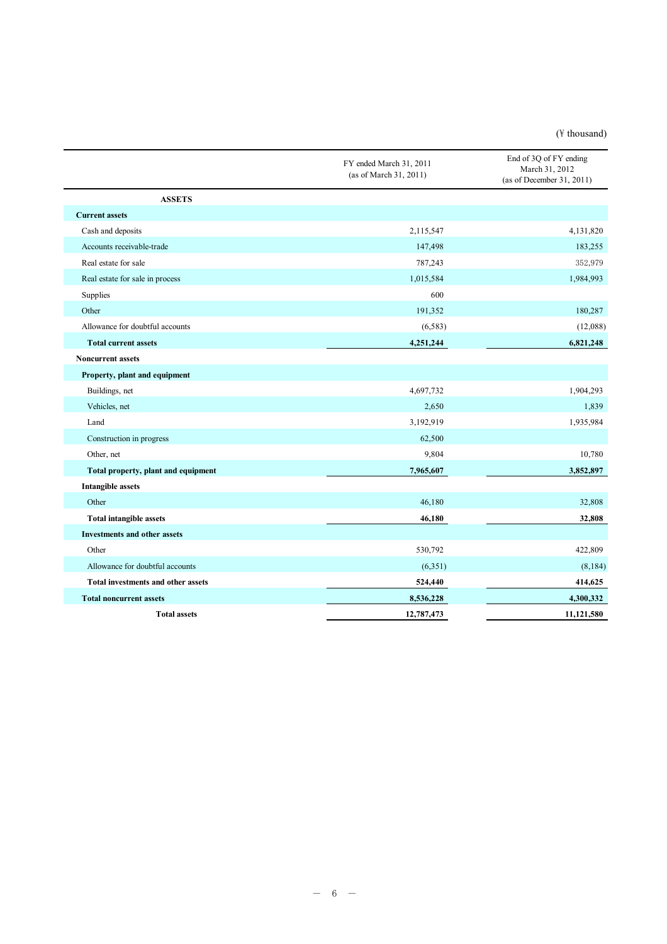### $(\n{F}$  thousand)

|                                           | FY ended March 31, 2011<br>(as of March 31, 2011) | End of 3Q of FY ending<br>March 31, 2012<br>(as of December 31, 2011) |
|-------------------------------------------|---------------------------------------------------|-----------------------------------------------------------------------|
| <b>ASSETS</b>                             |                                                   |                                                                       |
| <b>Current assets</b>                     |                                                   |                                                                       |
| Cash and deposits                         | 2,115,547                                         | 4,131,820                                                             |
| Accounts receivable-trade                 | 147,498                                           | 183,255                                                               |
| Real estate for sale                      | 787,243                                           | 352,979                                                               |
| Real estate for sale in process           | 1,015,584                                         | 1,984,993                                                             |
| Supplies                                  | 600                                               |                                                                       |
| Other                                     | 191,352                                           | 180,287                                                               |
| Allowance for doubtful accounts           | (6,583)                                           | (12,088)                                                              |
| <b>Total current assets</b>               | 4,251,244                                         | 6,821,248                                                             |
| <b>Noncurrent assets</b>                  |                                                   |                                                                       |
| Property, plant and equipment             |                                                   |                                                                       |
| Buildings, net                            | 4,697,732                                         | 1,904,293                                                             |
| Vehicles, net                             | 2,650                                             | 1,839                                                                 |
| Land                                      | 3,192,919                                         | 1,935,984                                                             |
| Construction in progress                  | 62,500                                            |                                                                       |
| Other, net                                | 9,804                                             | 10,780                                                                |
| Total property, plant and equipment       | 7,965,607                                         | 3,852,897                                                             |
| <b>Intangible assets</b>                  |                                                   |                                                                       |
| Other                                     | 46,180                                            | 32,808                                                                |
| <b>Total intangible assets</b>            | 46,180                                            | 32,808                                                                |
| <b>Investments and other assets</b>       |                                                   |                                                                       |
| Other                                     | 530,792                                           | 422,809                                                               |
| Allowance for doubtful accounts           | (6,351)                                           | (8, 184)                                                              |
| <b>Total investments and other assets</b> | 524,440                                           | 414,625                                                               |
| <b>Total noncurrent assets</b>            | 8,536,228                                         | 4,300,332                                                             |
| <b>Total assets</b>                       | 12,787,473                                        | 11,121,580                                                            |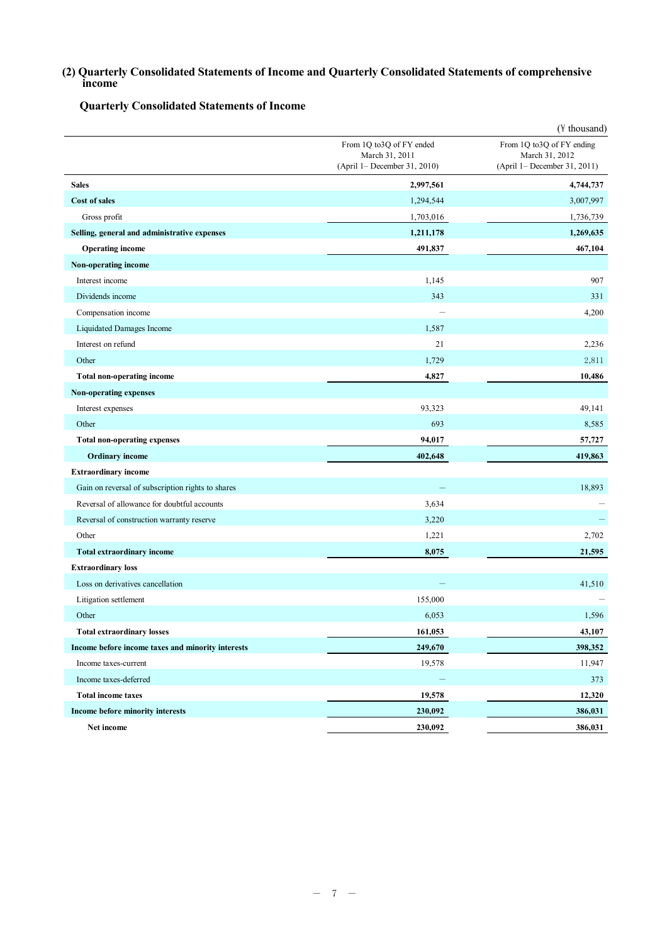**(2) Quarterly Consolidated Statements of Income and Quarterly Consolidated Statements of comprehensive income**

**Quarterly Consolidated Statements of Income**

|                                                   |                                                                            | (¥ thousand)                                                                |
|---------------------------------------------------|----------------------------------------------------------------------------|-----------------------------------------------------------------------------|
|                                                   | From 1Q to3Q of FY ended<br>March 31, 2011<br>(April 1– December 31, 2010) | From 1Q to3Q of FY ending<br>March 31, 2012<br>(April 1– December 31, 2011) |
| <b>Sales</b>                                      | 2,997,561                                                                  | 4,744,737                                                                   |
| <b>Cost of sales</b>                              | 1,294,544                                                                  | 3,007,997                                                                   |
| Gross profit                                      | 1,703,016                                                                  | 1,736,739                                                                   |
| Selling, general and administrative expenses      | 1,211,178                                                                  | 1,269,635                                                                   |
| <b>Operating income</b>                           | 491,837                                                                    | 467,104                                                                     |
| <b>Non-operating income</b>                       |                                                                            |                                                                             |
| Interest income                                   | 1,145                                                                      | 907                                                                         |
| Dividends income                                  | 343                                                                        | 331                                                                         |
| Compensation income                               |                                                                            | 4,200                                                                       |
| Liquidated Damages Income                         | 1,587                                                                      |                                                                             |
| Interest on refund                                | 21                                                                         | 2,236                                                                       |
| Other                                             | 1,729                                                                      | 2,811                                                                       |
| <b>Total non-operating income</b>                 | 4,827                                                                      | 10,486                                                                      |
| Non-operating expenses                            |                                                                            |                                                                             |
| Interest expenses                                 | 93,323                                                                     | 49,141                                                                      |
| Other                                             | 693                                                                        | 8,585                                                                       |
| <b>Total non-operating expenses</b>               | 94,017                                                                     | 57,727                                                                      |
| <b>Ordinary income</b>                            | 402,648                                                                    | 419,863                                                                     |
| <b>Extraordinary income</b>                       |                                                                            |                                                                             |
| Gain on reversal of subscription rights to shares |                                                                            | 18,893                                                                      |
| Reversal of allowance for doubtful accounts       | 3,634                                                                      |                                                                             |
| Reversal of construction warranty reserve         | 3,220                                                                      |                                                                             |
| Other                                             | 1,221                                                                      | 2,702                                                                       |
| Total extraordinary income                        | 8,075                                                                      | 21,595                                                                      |
| <b>Extraordinary loss</b>                         |                                                                            |                                                                             |
| Loss on derivatives cancellation                  |                                                                            | 41,510                                                                      |
| Litigation settlement                             | 155,000                                                                    |                                                                             |
| Other                                             | 6,053                                                                      | 1,596                                                                       |
| <b>Total extraordinary losses</b>                 | 161,053                                                                    | 43,107                                                                      |
| Income before income taxes and minority interests | 249,670                                                                    | 398,352                                                                     |
| Income taxes-current                              | 19,578                                                                     | 11,947                                                                      |
| Income taxes-deferred                             |                                                                            | 373                                                                         |
| <b>Total income taxes</b>                         | 19,578                                                                     | 12,320                                                                      |
| Income before minority interests                  | 230,092                                                                    | 386,031                                                                     |
| Net income                                        | 230,092                                                                    | 386,031                                                                     |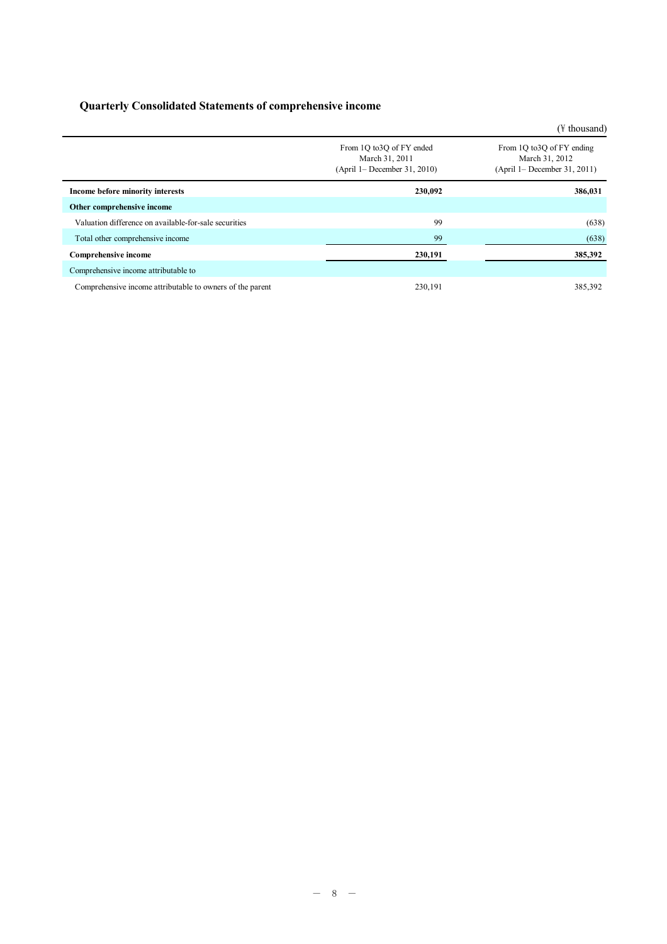# **Quarterly Consolidated Statements of comprehensive income**

|                                                           |                                                                               | (\times\) thousand)                                                          |
|-----------------------------------------------------------|-------------------------------------------------------------------------------|------------------------------------------------------------------------------|
|                                                           | From 1Q to3Q of FY ended<br>March 31, 2011<br>$(April 1 - December 31, 2010)$ | From 1Q to 3Q of FY ending<br>March 31, 2012<br>(April 1– December 31, 2011) |
| Income before minority interests                          | 230,092                                                                       | 386,031                                                                      |
| Other comprehensive income                                |                                                                               |                                                                              |
| Valuation difference on available-for-sale securities     | 99                                                                            | (638)                                                                        |
| Total other comprehensive income                          | 99                                                                            | (638)                                                                        |
| <b>Comprehensive income</b>                               | 230,191                                                                       | 385,392                                                                      |
| Comprehensive income attributable to                      |                                                                               |                                                                              |
| Comprehensive income attributable to owners of the parent | 230.191                                                                       | 385,392                                                                      |